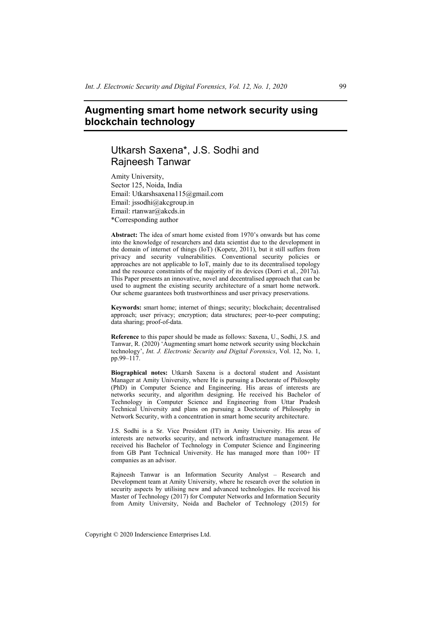# **Augmenting smart home network security using blockchain technology**

# Utkarsh Saxena\*, J.S. Sodhi and Rajneesh Tanwar

Amity University, Sector 125, Noida, India Email: Utkarshsaxena115@gmail.com Email: jssodhi@akcgroup.in Email: rtanwar@akcds.in \*Corresponding author

**Abstract:** The idea of smart home existed from 1970's onwards but has come into the knowledge of researchers and data scientist due to the development in the domain of internet of things (IoT) (Kopetz, 2011), but it still suffers from privacy and security vulnerabilities. Conventional security policies or approaches are not applicable to IoT, mainly due to its decentralised topology and the resource constraints of the majority of its devices (Dorri et al., 2017a). This Paper presents an innovative, novel and decentralised approach that can be used to augment the existing security architecture of a smart home network. Our scheme guarantees both trustworthiness and user privacy preservations.

**Keywords:** smart home; internet of things; security; blockchain; decentralised approach; user privacy; encryption; data structures; peer-to-peer computing; data sharing; proof-of-data.

**Reference** to this paper should be made as follows: Saxena, U., Sodhi, J.S. and Tanwar, R. (2020) 'Augmenting smart home network security using blockchain technology', *Int. J. Electronic Security and Digital Forensics*, Vol. 12, No. 1, pp.99–117.

**Biographical notes:** Utkarsh Saxena is a doctoral student and Assistant Manager at Amity University, where He is pursuing a Doctorate of Philosophy (PhD) in Computer Science and Engineering. His areas of interests are networks security, and algorithm designing. He received his Bachelor of Technology in Computer Science and Engineering from Uttar Pradesh Technical University and plans on pursuing a Doctorate of Philosophy in Network Security, with a concentration in smart home security architecture.

J.S. Sodhi is a Sr. Vice President (IT) in Amity University. His areas of interests are networks security, and network infrastructure management. He received his Bachelor of Technology in Computer Science and Engineering from GB Pant Technical University. He has managed more than  $100+$  IT companies as an advisor.

Rajneesh Tanwar is an Information Security Analyst – Research and Development team at Amity University, where he research over the solution in security aspects by utilising new and advanced technologies. He received his Master of Technology (2017) for Computer Networks and Information Security from Amity University, Noida and Bachelor of Technology (2015) for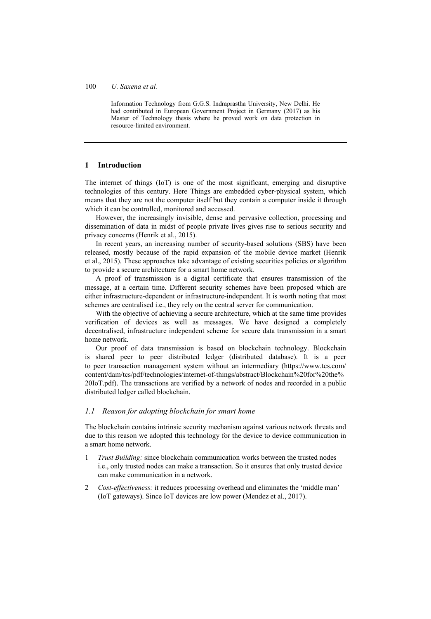Information Technology from G.G.S. Indraprastha University, New Delhi. He had contributed in European Government Project in Germany (2017) as his Master of Technology thesis where he proved work on data protection in resource-limited environment.

### **1 Introduction**

The internet of things (IoT) is one of the most significant, emerging and disruptive technologies of this century. Here Things are embedded cyber-physical system, which means that they are not the computer itself but they contain a computer inside it through which it can be controlled, monitored and accessed.

However, the increasingly invisible, dense and pervasive collection, processing and dissemination of data in midst of people private lives gives rise to serious security and privacy concerns (Henrik et al., 2015).

In recent years, an increasing number of security-based solutions (SBS) have been released, mostly because of the rapid expansion of the mobile device market (Henrik et al., 2015). These approaches take advantage of existing securities policies or algorithm to provide a secure architecture for a smart home network.

A proof of transmission is a digital certificate that ensures transmission of the message, at a certain time. Different security schemes have been proposed which are either infrastructure-dependent or infrastructure-independent. It is worth noting that most schemes are centralised i.e., they rely on the central server for communication.

With the objective of achieving a secure architecture, which at the same time provides verification of devices as well as messages. We have designed a completely decentralised, infrastructure independent scheme for secure data transmission in a smart home network.

Our proof of data transmission is based on blockchain technology. Blockchain is shared peer to peer distributed ledger (distributed database). It is a peer to peer transaction management system without an intermediary (https://www.tcs.com/ content/dam/tcs/pdf/technologies/internet-of-things/abstract/Blockchain%20for%20the% 20IoT.pdf). The transactions are verified by a network of nodes and recorded in a public distributed ledger called blockchain.

### *1.1 Reason for adopting blockchain for smart home*

The blockchain contains intrinsic security mechanism against various network threats and due to this reason we adopted this technology for the device to device communication in a smart home network.

- 1 *Trust Building:* since blockchain communication works between the trusted nodes i.e., only trusted nodes can make a transaction. So it ensures that only trusted device can make communication in a network.
- 2 *Cost-effectiveness:* it reduces processing overhead and eliminates the 'middle man' (IoT gateways). Since IoT devices are low power (Mendez et al., 2017).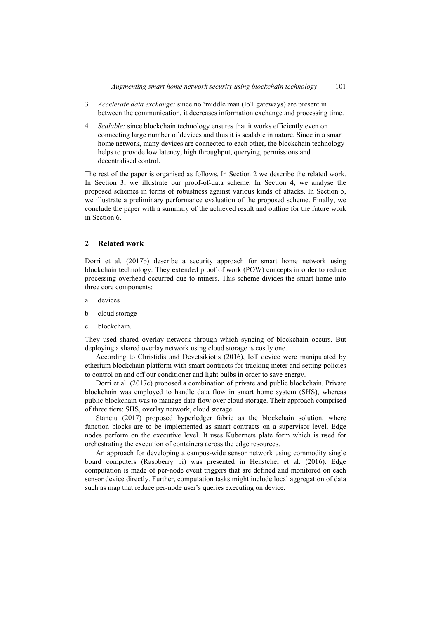- 3 *Accelerate data exchange:* since no 'middle man (IoT gateways) are present in between the communication, it decreases information exchange and processing time.
- 4 *Scalable:* since blockchain technology ensures that it works efficiently even on connecting large number of devices and thus it is scalable in nature. Since in a smart home network, many devices are connected to each other, the blockchain technology helps to provide low latency, high throughput, querying, permissions and decentralised control.

The rest of the paper is organised as follows. In Section 2 we describe the related work. In Section 3, we illustrate our proof-of-data scheme. In Section 4, we analyse the proposed schemes in terms of robustness against various kinds of attacks. In Section 5, we illustrate a preliminary performance evaluation of the proposed scheme. Finally, we conclude the paper with a summary of the achieved result and outline for the future work in Section 6.

### **2 Related work**

Dorri et al. (2017b) describe a security approach for smart home network using blockchain technology. They extended proof of work (POW) concepts in order to reduce processing overhead occurred due to miners. This scheme divides the smart home into three core components:

- a devices
- b cloud storage
- c blockchain.

They used shared overlay network through which syncing of blockchain occurs. But deploying a shared overlay network using cloud storage is costly one.

According to Christidis and Devetsikiotis (2016), IoT device were manipulated by etherium blockchain platform with smart contracts for tracking meter and setting policies to control on and off our conditioner and light bulbs in order to save energy.

Dorri et al. (2017c) proposed a combination of private and public blockchain. Private blockchain was employed to handle data flow in smart home system (SHS), whereas public blockchain was to manage data flow over cloud storage. Their approach comprised of three tiers: SHS, overlay network, cloud storage

Stanciu (2017) proposed hyperledger fabric as the blockchain solution, where function blocks are to be implemented as smart contracts on a supervisor level. Edge nodes perform on the executive level. It uses Kubernets plate form which is used for orchestrating the execution of containers across the edge resources.

An approach for developing a campus-wide sensor network using commodity single board computers (Raspberry pi) was presented in Henstchel et al. (2016). Edge computation is made of per-node event triggers that are defined and monitored on each sensor device directly. Further, computation tasks might include local aggregation of data such as map that reduce per-node user's queries executing on device.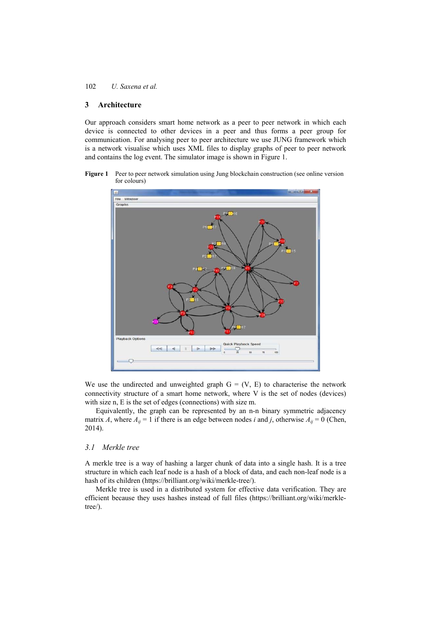### **3 Architecture**

Our approach considers smart home network as a peer to peer network in which each device is connected to other devices in a peer and thus forms a peer group for communication. For analysing peer to peer architecture we use JUNG framework which is a network visualise which uses XML files to display graphs of peer to peer network and contains the log event. The simulator image is shown in Figure 1.

Figure 1 Peer to peer network simulation using Jung blockchain construction (see online version for colours)



We use the undirected and unweighted graph  $G = (V, E)$  to characterise the network connectivity structure of a smart home network, where V is the set of nodes (devices) with size n, E is the set of edges (connections) with size m.

Equivalently, the graph can be represented by an n-n binary symmetric adjacency matrix *A*, where  $A_{ij} = 1$  if there is an edge between nodes *i* and *j*, otherwise  $A_{ij} = 0$  (Chen, 2014).

#### *3.1 Merkle tree*

A merkle tree is a way of hashing a larger chunk of data into a single hash. It is a tree structure in which each leaf node is a hash of a block of data, and each non-leaf node is a hash of its children (https://brilliant.org/wiki/merkle-tree/).

Merkle tree is used in a distributed system for effective data verification. They are efficient because they uses hashes instead of full files (https://brilliant.org/wiki/merkletree/).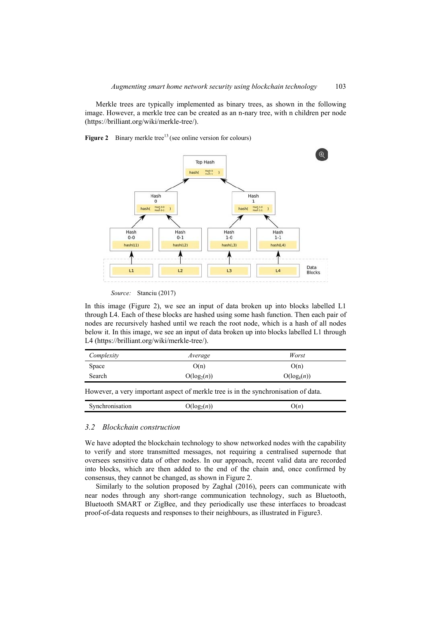Merkle trees are typically implemented as binary trees, as shown in the following image. However, a merkle tree can be created as an n-nary tree, with n children per node (https://brilliant.org/wiki/merkle-tree/).

**Figure 2** Binary merkle tree<sup>13</sup> (see online version for colours)



*Source:* Stanciu (2017)

In this image (Figure 2), we see an input of data broken up into blocks labelled L1 through L4. Each of these blocks are hashed using some hash function. Then each pair of nodes are recursively hashed until we reach the root node, which is a hash of all nodes below it. In this image, we see an input of data broken up into blocks labelled L1 through L4 (https://brilliant.org/wiki/merkle-tree/).

| Complexity | Average       | Worst         |
|------------|---------------|---------------|
| Space      | O(n)          | O(n)          |
| Search     | $O(log_2(n))$ | $O(log_k(n))$ |

However, a very important aspect of merkle tree is in the synchronisation of data.

| Э€<br>Synchromisation | $\log_2(n)$ | п<br>ຼ |
|-----------------------|-------------|--------|
|-----------------------|-------------|--------|

### *3.2 Blockchain construction*

We have adopted the blockchain technology to show networked nodes with the capability to verify and store transmitted messages, not requiring a centralised supernode that oversees sensitive data of other nodes. In our approach, recent valid data are recorded into blocks, which are then added to the end of the chain and, once confirmed by consensus, they cannot be changed, as shown in Figure 2.

Similarly to the solution proposed by Zaghal (2016), peers can communicate with near nodes through any short-range communication technology, such as Bluetooth, Bluetooth SMART or ZigBee, and they periodically use these interfaces to broadcast proof-of-data requests and responses to their neighbours, as illustrated in Figure3.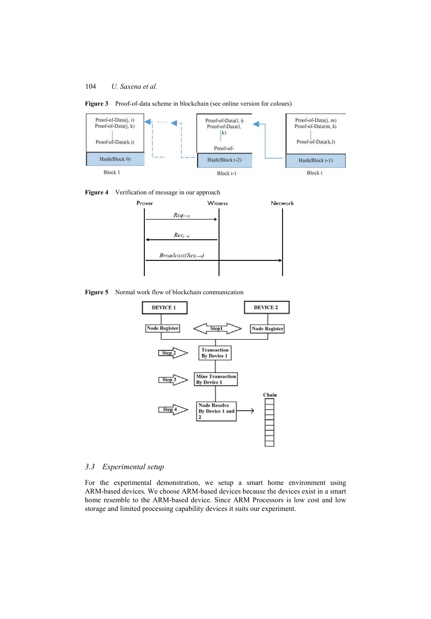







**Figure 5** Normal work flow of blockchain communication



### *3.3 Experimental setup*

For the experimental demonstration, we setup a smart home environment using ARM-based devices. We choose ARM-based devices because the devices exist in a smart home resemble to the ARM-based device. Since ARM Processors is low cost and low storage and limited processing capability devices it suits our experiment.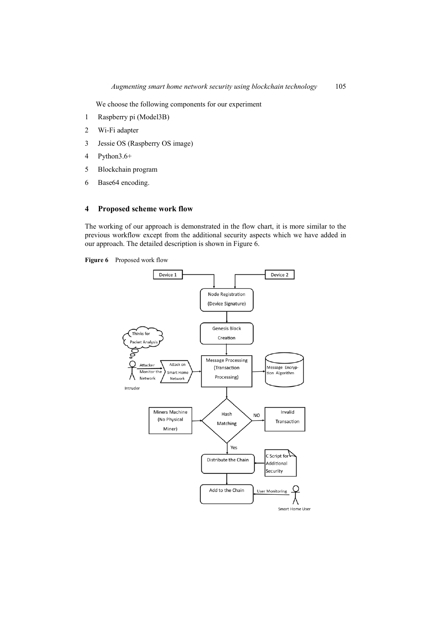We choose the following components for our experiment

- 1 Raspberry pi (Model3B)
- 2 Wi-Fi adapter
- 3 Jessie OS (Raspberry OS image)
- 4 Python3.6+
- 5 Blockchain program
- 6 Base64 encoding.

### **4 Proposed scheme work flow**

The working of our approach is demonstrated in the flow chart, it is more similar to the previous workflow except from the additional security aspects which we have added in our approach. The detailed description is shown in Figure 6.

**Figure 6** Proposed work flow

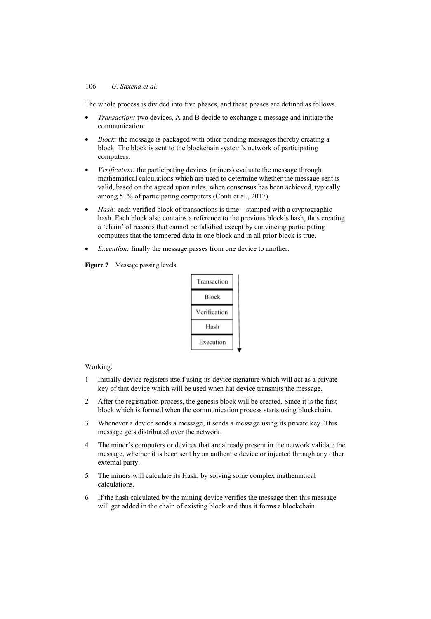The whole process is divided into five phases, and these phases are defined as follows.

- *Transaction:* two devices, A and B decide to exchange a message and initiate the communication.
- *Block:* the message is packaged with other pending messages thereby creating a block. The block is sent to the blockchain system's network of participating computers.
- *Verification:* the participating devices (miners) evaluate the message through mathematical calculations which are used to determine whether the message sent is valid, based on the agreed upon rules, when consensus has been achieved, typically among 51% of participating computers (Conti et al., 2017).
- Hash: each verified block of transactions is time stamped with a cryptographic hash. Each block also contains a reference to the previous block's hash, thus creating a 'chain' of records that cannot be falsified except by convincing participating computers that the tampered data in one block and in all prior block is true.
- *Execution:* finally the message passes from one device to another.





#### Working:

- 1 Initially device registers itself using its device signature which will act as a private key of that device which will be used when hat device transmits the message.
- 2 After the registration process, the genesis block will be created. Since it is the first block which is formed when the communication process starts using blockchain.
- 3 Whenever a device sends a message, it sends a message using its private key. This message gets distributed over the network.
- 4 The miner's computers or devices that are already present in the network validate the message, whether it is been sent by an authentic device or injected through any other external party.
- 5 The miners will calculate its Hash, by solving some complex mathematical calculations.
- 6 If the hash calculated by the mining device verifies the message then this message will get added in the chain of existing block and thus it forms a blockchain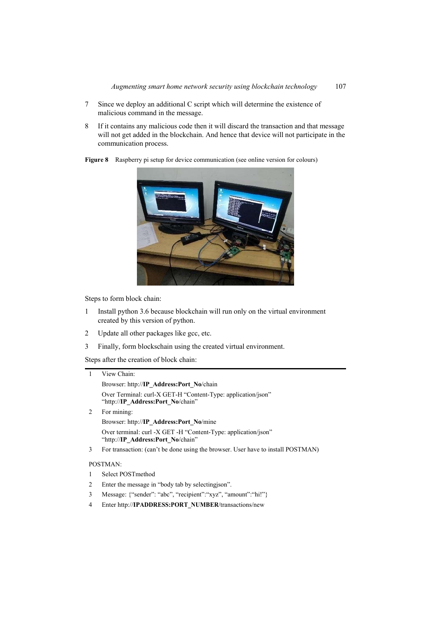- 7 Since we deploy an additional C script which will determine the existence of malicious command in the message.
- 8 If it contains any malicious code then it will discard the transaction and that message will not get added in the blockchain. And hence that device will not participate in the communication process.



**Figure 8** Raspberry pi setup for device communication (see online version for colours)

Steps to form block chain:

- 1 Install python 3.6 because blockchain will run only on the virtual environment created by this version of python.
- 2 Update all other packages like gcc, etc.
- 3 Finally, form blockschain using the created virtual environment.

Steps after the creation of block chain:

|   | View Chain:                                                                                         |
|---|-----------------------------------------------------------------------------------------------------|
|   | Browser: http://IP Address:Port No/chain                                                            |
|   | Over Terminal: curl-X GET-H "Content-Type: application/json"<br>"http://IP Address:Port No/chain"   |
| 2 | For mining:                                                                                         |
|   | Browser: http://IP Address:Port No/mine                                                             |
|   | Over terminal: curl -X GET -H "Content-Type: application/json"<br>"http://IP Address:Port No/chain" |
| 3 | For transaction: (can't be done using the browser. User have to install POSTMAN)                    |
|   | POSTMAN:                                                                                            |
|   | Select POSTmethod                                                                                   |
| 2 | Enter the message in "body tab by selecting is on".                                                 |

- 3 Message: {"sender": "abc", "recipient":"xyz", "amount":"hi!"}
- 4 Enter http://**IPADDRESS:PORT\_NUMBER**/transactions/new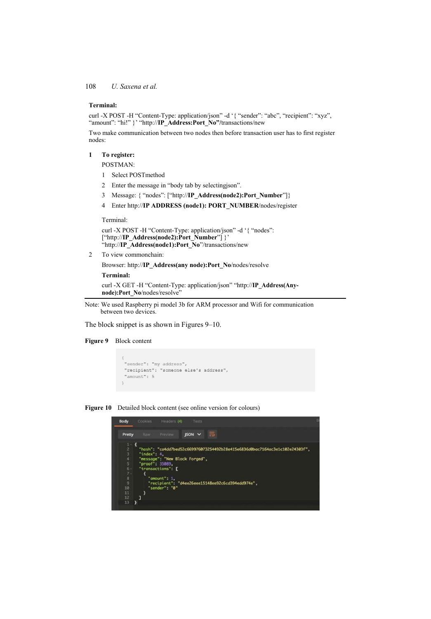#### **Terminal:**

curl -X POST -H "Content-Type: application/json" -d '{ "sender": "abc", "recipient": "xyz", "amount": "hi!" }' "http://**IP\_Address:Port\_No"/**transactions/new

Two make communication between two nodes then before transaction user has to first register nodes:

### **1 To register:**

POSTMAN:

- 1 Select POSTmethod
- 2 Enter the message in "body tab by selectingjson".
- 3 Message: { "nodes": ["http://**IP\_Address(node2):Port\_Number**"]}
- 4 Enter http://**IP ADDRESS (node1): PORT\_NUMBER**/nodes/register

Terminal:

```
 curl -X POST -H "Content-Type: application/json" -d '{ "nodes": 
["http://IP_Address(node2):Port_Number"] }' 
"http://IP_Address(node1):Port_No"/transactions/new
```
2 To view commonchain:

Browser: http://**IP\_Address(any node):Port\_No**/nodes/resolve

#### **Terminal:**

 curl -X GET -H "Content-Type: application/json" "http://**IP\_Address(Anynode):Port\_No**/nodes/resolve"

Note: We used Raspberry pi model 3b for ARM processor and Wifi for communication between two devices.

The block snippet is as shown in Figures 9–10.

#### **Figure 9** Block content

```
"sender": "my address",<br>"recipient": "someone else's address",
"amount": 5
\mathbf{r}
```
**Figure 10** Detailed block content (see online version for colours)

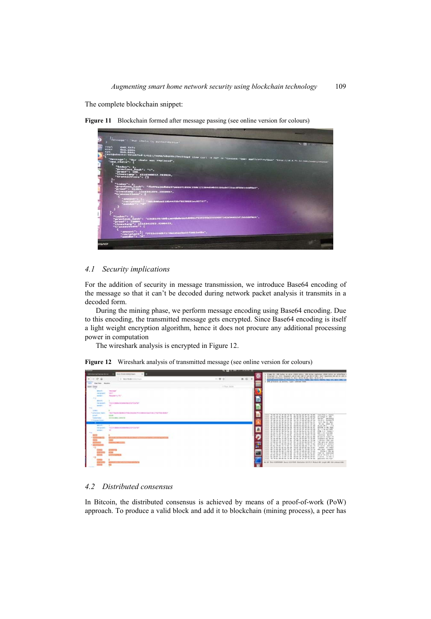The complete blockchain snippet:

**Figure 11** Blockchain formed after message passing (see online version for colours)



### *4.1 Security implications*

For the addition of security in message transmission, we introduce Base64 encoding of the message so that it can't be decoded during network packet analysis it transmits in a decoded form.

During the mining phase, we perform message encoding using Base64 encoding. Due to this encoding, the transmitted message gets encrypted. Since Base64 encoding is itself a light weight encryption algorithm, hence it does not procure any additional processing power in computation

The wireshark analysis is encrypted in Figure 12.

**Figure 12** Wireshark analysis of transmitted message (see online version for colours)

| -----                                                                                                                            | <b>A CALIFORNIA COMPANY</b> |                                                                                                                                                                             |
|----------------------------------------------------------------------------------------------------------------------------------|-----------------------------|-----------------------------------------------------------------------------------------------------------------------------------------------------------------------------|
| <b>M.E.TO.AILSONNAMIC</b><br><b>Selectional Server British</b><br>$\sim$ 100                                                     | ю                           | Home 65: 600 keter on abre (2000 kins), 600 biter cadives (2000 kits) on president<br>. EThernel II. Shr: Ranchert Ab SZ:no cut.II at 46.57.901. Sat. Georgia By at 19 (86) |
| $-0.9$<br>G. 16.5 PLAX 1200 Visit                                                                                                | $n \n0$ =<br>$-00$          | a Socation Product) because A. Morr 28.A. In At. Inc.: 14.A.TL.C.<br>Practical control Process, No Park Mark, San Auto Mater Market Street at any 199, to                   |
| <b>Realists Monitor</b><br><b>CONTENT</b>                                                                                        |                             | . The produced the moving. Come: makings balls                                                                                                                              |
| <b>Size Occa</b>                                                                                                                 | 2.5 Sept 2024               |                                                                                                                                                                             |
| <b>TRANSPORT</b><br><b>MARINEZ</b>                                                                                               | в                           |                                                                                                                                                                             |
| ratte.<br>Feltras Sent<br><b>Stopherty PLT</b><br><b>SALES</b>                                                                   |                             |                                                                                                                                                                             |
| $+1$                                                                                                                             |                             |                                                                                                                                                                             |
| annual.<br>"Eldermidtelscheinungsschaftsfahre"<br>recruiter.                                                                     |                             |                                                                                                                                                                             |
| <b>SACRATION</b>                                                                                                                 |                             |                                                                                                                                                                             |
|                                                                                                                                  |                             |                                                                                                                                                                             |
| 1493 TRATELIN 8012 TRAVALES 2002 TRIALMANITAS ETA LITRATURI MAEZ<br><b><i><u>Paracious hack</u></i></b><br><b>STATE</b><br>prest |                             | out Pilla L. Conta                                                                                                                                                          |
| <b>HARRISON CONTRA</b><br><b><i><u><u>RESERVE</u></u></i></b>                                                                    |                             | $\overline{18}$<br>$\mathbb{R}^n$<br>$\sim$<br>FE GROUP R  282.<br>$\sim$<br><b>34 Ta</b><br>17.46.<br>76.47<br>between anchorage                                           |
| of Angeles House                                                                                                                 |                             | 78.15.2 Sythian1<br>5.5.04.10: No.<br>tion. Statut \$1.                                                                                                                     |
| senate.<br>"ELDITORRANEALMAN MANDELT ESTAT<br><b><i><u>PROGRAM</u></i></b>                                                       |                             | he did by 60 Ex 21 21 ex<br>26 67 40<br>ü<br><b>10 32 40</b><br><b>SCTVIE &amp; TN, PUE</b><br>51<br><b>TIL</b>                                                             |
| <b>SERVICE</b>                                                                                                                   | a                           | $34 + 34 + 84$<br>33 ab 29 27 at 54 at 29.<br>22 FLAC MONE<br>sing it it rought<br>-19                                                                                      |
| ÷                                                                                                                                |                             | ER's orn blanker<br>20 53 93 73 74 95 77 29<br>Internal Server                                                                                                              |
|                                                                                                                                  |                             | Au 34 AK<br>Erismit Himt.ca<br>inlaters at ferre<br>75 76 45<br>25 92 95                                                                                                    |
|                                                                                                                                  |                             | 78.36<br>P. Bresen, Jidit .- (p)<br>$^{46}$<br>$^{46}$<br>40.00<br>the sarry ar wints<br>change a m collect                                                                 |
|                                                                                                                                  | re                          | $\sim$<br>$^{12}$<br>24 41<br>29 77 91 79<br>al excer. and any<br>30.43.67.44.75.64<br>provider the newport                                                                 |
|                                                                                                                                  |                             | 79 AF 76 T2<br>26.72.85<br>75. 75. 46. 73. 74.<br>and your request<br>Elittle r title se<br>AR 83 25 73 65                                                                  |
|                                                                                                                                  | Pa                          | 47.81.64<br>19 29<br>37 78 35<br>Post 31 descriced<br>12 Mil.<br>14.94<br>65. 12 Kil 25 Kil 19 78 Kil<br>of or in are in a                                                  |
| $+8.5$                                                                                                                           |                             | 53000000000000000<br>a dense in the a<br>policetti en nige.                                                                                                                 |
|                                                                                                                                  |                             | W. M. The EXPITER Rent IX VAN Automobile SECULAR IN Land AV AN AN AN AN ARCHITECT                                                                                           |
|                                                                                                                                  |                             |                                                                                                                                                                             |

### *4.2 Distributed consensus*

In Bitcoin, the distributed consensus is achieved by means of a proof-of-work (PoW) approach. To produce a valid block and add it to blockchain (mining process), a peer has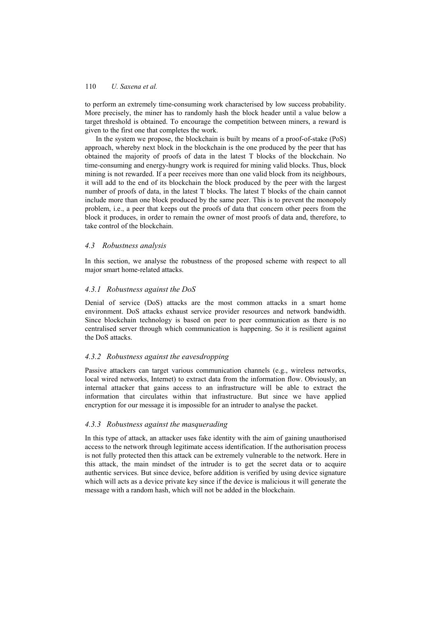to perform an extremely time-consuming work characterised by low success probability. More precisely, the miner has to randomly hash the block header until a value below a target threshold is obtained. To encourage the competition between miners, a reward is given to the first one that completes the work.

In the system we propose, the blockchain is built by means of a proof-of-stake (PoS) approach, whereby next block in the blockchain is the one produced by the peer that has obtained the majority of proofs of data in the latest T blocks of the blockchain. No time-consuming and energy-hungry work is required for mining valid blocks. Thus, block mining is not rewarded. If a peer receives more than one valid block from its neighbours, it will add to the end of its blockchain the block produced by the peer with the largest number of proofs of data, in the latest T blocks. The latest T blocks of the chain cannot include more than one block produced by the same peer. This is to prevent the monopoly problem, i.e., a peer that keeps out the proofs of data that concern other peers from the block it produces, in order to remain the owner of most proofs of data and, therefore, to take control of the blockchain.

### *4.3 Robustness analysis*

In this section, we analyse the robustness of the proposed scheme with respect to all major smart home-related attacks.

### *4.3.1 Robustness against the DoS*

Denial of service (DoS) attacks are the most common attacks in a smart home environment. DoS attacks exhaust service provider resources and network bandwidth. Since blockchain technology is based on peer to peer communication as there is no centralised server through which communication is happening. So it is resilient against the DoS attacks.

### *4.3.2 Robustness against the eavesdropping*

Passive attackers can target various communication channels (e.g., wireless networks, local wired networks, Internet) to extract data from the information flow. Obviously, an internal attacker that gains access to an infrastructure will be able to extract the information that circulates within that infrastructure. But since we have applied encryption for our message it is impossible for an intruder to analyse the packet.

#### *4.3.3 Robustness against the masquerading*

In this type of attack, an attacker uses fake identity with the aim of gaining unauthorised access to the network through legitimate access identification. If the authorisation process is not fully protected then this attack can be extremely vulnerable to the network. Here in this attack, the main mindset of the intruder is to get the secret data or to acquire authentic services. But since device, before addition is verified by using device signature which will acts as a device private key since if the device is malicious it will generate the message with a random hash, which will not be added in the blockchain.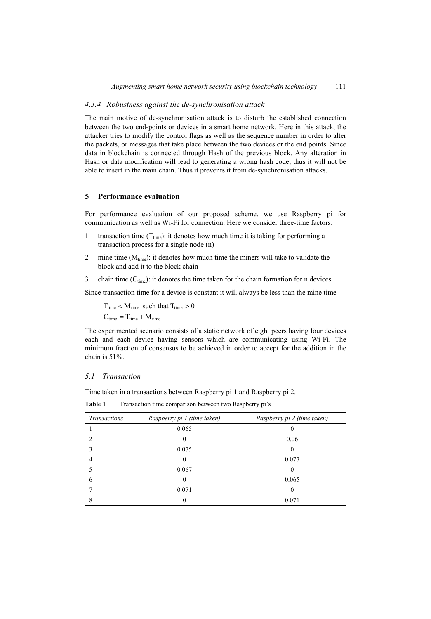### *4.3.4 Robustness against the de-synchronisation attack*

The main motive of de-synchronisation attack is to disturb the established connection between the two end-points or devices in a smart home network. Here in this attack, the attacker tries to modify the control flags as well as the sequence number in order to alter the packets, or messages that take place between the two devices or the end points. Since data in blockchain is connected through Hash of the previous block. Any alteration in Hash or data modification will lead to generating a wrong hash code, thus it will not be able to insert in the main chain. Thus it prevents it from de-synchronisation attacks.

### **5 Performance evaluation**

For performance evaluation of our proposed scheme, we use Raspberry pi for communication as well as Wi-Fi for connection. Here we consider three-time factors:

- 1 transaction time  $(T_{time})$ : it denotes how much time it is taking for performing a transaction process for a single node (n)
- 2 mine time  $(M<sub>time</sub>)$ : it denotes how much time the miners will take to validate the block and add it to the block chain
- 3 chain time  $(C_{time})$ : it denotes the time taken for the chain formation for n devices.

Since transaction time for a device is constant it will always be less than the mine time

 $T_{time} < M_{time}$  such that  $T_{time} > 0$  $C_{time} = T_{time} + M_{time}$ 

The experimented scenario consists of a static network of eight peers having four devices each and each device having sensors which are communicating using Wi-Fi. The minimum fraction of consensus to be achieved in order to accept for the addition in the chain is 51%.

### *5.1 Transaction*

Time taken in a transactions between Raspberry pi 1 and Raspberry pi 2.

| <b>Transactions</b> | Raspberry pi 1 (time taken) | Raspberry pi 2 (time taken) |
|---------------------|-----------------------------|-----------------------------|
|                     | 0.065                       | $_{0}$                      |
|                     | $\theta$                    | 0.06                        |
|                     | 0.075                       | $\theta$                    |
| 4                   | $\theta$                    | 0.077                       |
|                     | 0.067                       | $\theta$                    |
| 6                   | $\theta$                    | 0.065                       |
|                     | 0.071                       | $\mathbf{0}$                |
|                     | $\Omega$                    | 0.071                       |

**Table 1** Transaction time comparison between two Raspberry pi's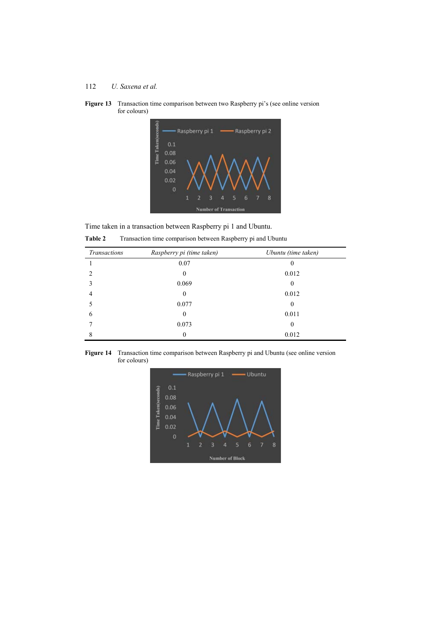



Time taken in a transaction between Raspberry pi 1 and Ubuntu.

Table 2 Transaction time comparison between Raspberry pi and Ubuntu

| Transactions | Raspberry pi (time taken) | Ubuntu (time taken) |
|--------------|---------------------------|---------------------|
|              | 0.07                      | 0                   |
|              | $\mathbf{0}$              | 0.012               |
|              | 0.069                     | 0                   |
|              | $\boldsymbol{0}$          | 0.012               |
|              | 0.077                     | 0                   |
| 6            | $\boldsymbol{0}$          | 0.011               |
|              | 0.073                     | 0                   |
|              | $\boldsymbol{0}$          | 0.012               |

**Figure 14** Transaction time comparison between Raspberry pi and Ubuntu (see online version for colours)

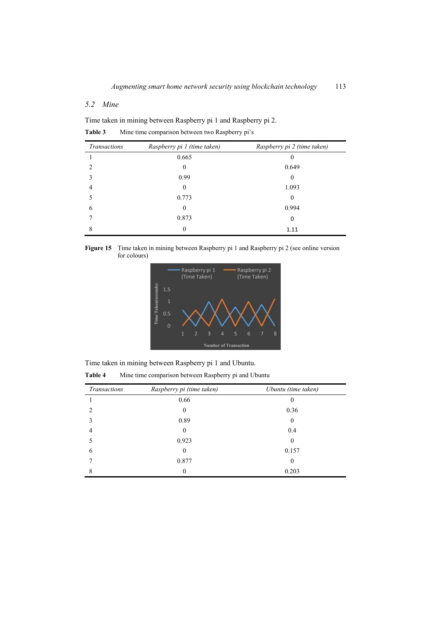## *5.2 Mine*

Time taken in mining between Raspberry pi 1 and Raspberry pi 2.

| <b>Table 3</b> |  | Mine time comparison between two Raspberry pi's |  |  |  |  |  |
|----------------|--|-------------------------------------------------|--|--|--|--|--|
|----------------|--|-------------------------------------------------|--|--|--|--|--|

| <b>Transactions</b> | Raspberry pi 1 (time taken) | Raspberry pi 2 (time taken) |
|---------------------|-----------------------------|-----------------------------|
|                     | 0.665                       |                             |
| $\mathfrak{D}$      | $\mathbf{0}$                | 0.649                       |
|                     | 0.99                        | 0                           |
| 4                   | $\mathbf{0}$                | 1.093                       |
|                     | 0.773                       | 0                           |
| 6                   | $\theta$                    | 0.994                       |
|                     | 0.873                       | 0                           |
| 8                   | $\boldsymbol{0}$            | 1.11                        |

**Figure 15** Time taken in mining between Raspberry pi 1 and Raspberry pi 2 (see online version for colours)



Time taken in mining between Raspberry pi 1 and Ubuntu.

**Table 4** Mine time comparison between Raspberry pi and Ubuntu

| Transactions | Raspberry pi (time taken) | Ubuntu (time taken) |
|--------------|---------------------------|---------------------|
|              | 0.66                      | O                   |
| າ            | $\theta$                  | 0.36                |
| 3            | 0.89                      | 0                   |
| 4            | $\Omega$                  | 0.4                 |
|              | 0.923                     | $\theta$            |
| 6            | $\Omega$                  | 0.157               |
|              | 0.877                     | 0                   |
| 8            | 0                         | 0.203               |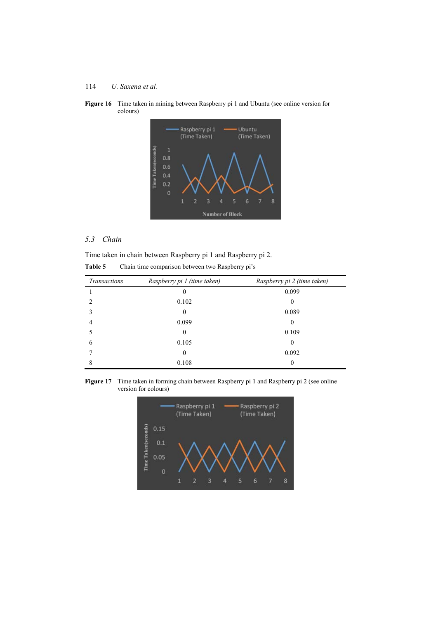



# *5.3 Chain*

Time taken in chain between Raspberry pi 1 and Raspberry pi 2. **Table 5** Chain time comparison between two Raspberry pi's

| <b>Transactions</b> | Raspberry pi 1 (time taken) | Raspberry pi 2 (time taken) |
|---------------------|-----------------------------|-----------------------------|
|                     |                             | 0.099                       |
|                     | 0.102                       | 0                           |
|                     | $\Omega$                    | 0.089                       |
| 4                   | 0.099                       | 0                           |
|                     | $\Omega$                    | 0.109                       |
| 6                   | 0.105                       | 0                           |
|                     | $\Omega$                    | 0.092                       |
|                     | 0.108                       | 0                           |

Figure 17 Time taken in forming chain between Raspberry pi 1 and Raspberry pi 2 (see online version for colours)

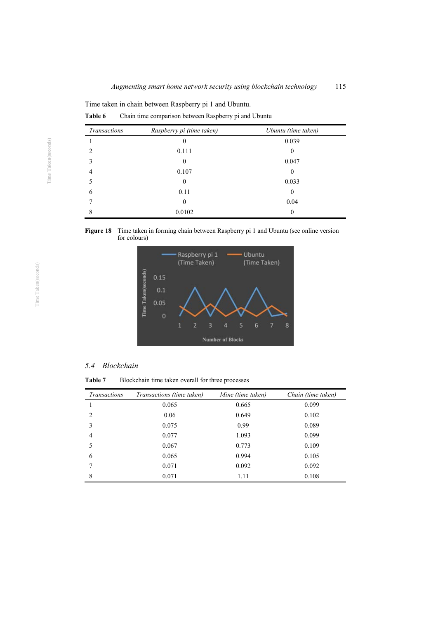**Table 6** Chain time comparison between Raspberry pi and Ubuntu

| Transactions                | Raspberry pi (time taken) | Ubuntu (time taken) |
|-----------------------------|---------------------------|---------------------|
|                             | 0                         | 0.039               |
| $\mathcal{D}_{\mathcal{A}}$ | 0.111                     | 0                   |
| 3                           | $\Omega$                  | 0.047               |
| 4                           | 0.107                     | 0                   |
|                             | $\mathbf{0}$              | 0.033               |
| 6                           | 0.11                      | 0                   |
|                             | $\Omega$                  | 0.04                |
| 8                           | 0.0102                    | 0                   |





### *5.4 Blockchain*

**Table 7** Blockchain time taken overall for three processes

| <b>Transactions</b> | Transactions (time taken) | Mine (time taken) | Chain (time taken) |
|---------------------|---------------------------|-------------------|--------------------|
|                     | 0.065                     | 0.665             | 0.099              |
| $\overline{c}$      | 0.06                      | 0.649             | 0.102              |
| 3                   | 0.075                     | 0.99              | 0.089              |
| 4                   | 0.077                     | 1.093             | 0.099              |
| 5                   | 0.067                     | 0.773             | 0.109              |
| 6                   | 0.065                     | 0.994             | 0.105              |
|                     | 0.071                     | 0.092             | 0.092              |
| 8                   | 0.071                     | 1.11              | 0.108              |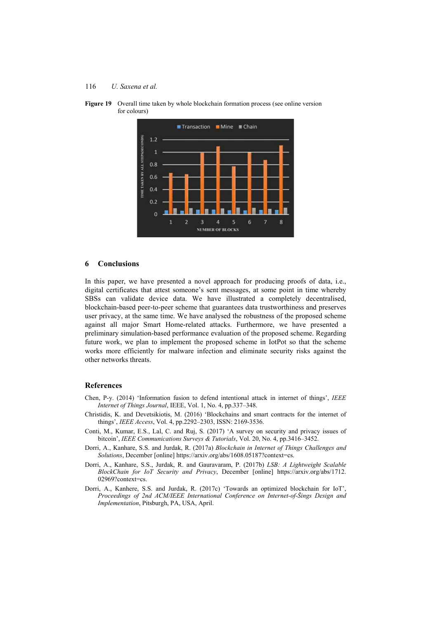



#### **6 Conclusions**

In this paper, we have presented a novel approach for producing proofs of data, i.e., digital certificates that attest someone's sent messages, at some point in time whereby SBSs can validate device data. We have illustrated a completely decentralised, blockchain-based peer-to-peer scheme that guarantees data trustworthiness and preserves user privacy, at the same time. We have analysed the robustness of the proposed scheme against all major Smart Home-related attacks. Furthermore, we have presented a preliminary simulation-based performance evaluation of the proposed scheme. Regarding future work, we plan to implement the proposed scheme in IotPot so that the scheme works more efficiently for malware infection and eliminate security risks against the other networks threats.

### **References**

- Chen, P-y. (2014) 'Information fusion to defend intentional attack in internet of things', *IEEE Internet of Things Journal*, IEEE, Vol. 1, No. 4, pp.337–348.
- Christidis, K. and Devetsikiotis, M. (2016) 'Blockchains and smart contracts for the internet of things', *IEEE Access*, Vol. 4, pp.2292–2303, ISSN: 2169-3536.
- Conti, M., Kumar, E.S., Lal, C. and Ruj, S. (2017) 'A survey on security and privacy issues of bitcoin', *IEEE Communications Surveys & Tutorials*, Vol. 20, No. 4, pp.3416–3452.
- Dorri, A., Kanhare, S.S. and Jurdak, R. (2017a) *Blockchain in Internet of Things Challenges and Solutions*, December [online] https://arxiv.org/abs/1608.05187?context=cs.
- Dorri, A., Kanhare, S.S., Jurdak, R. and Gauravaram, P. (2017b) *LSB: A Lightweight Scalable BlockChain for IoT Security and Privacy*, December [online] https://arxiv.org/abs/1712. 02969?context=cs.
- Dorri, A., Kanhere, S.S. and Jurdak, R. (2017c) 'Towards an optimized blockchain for IoT', *Proceedings of 2nd ACM/IEEE International Conference on Internet-of-Šings Design and Implementation*, Pitsburgh, PA, USA, April.